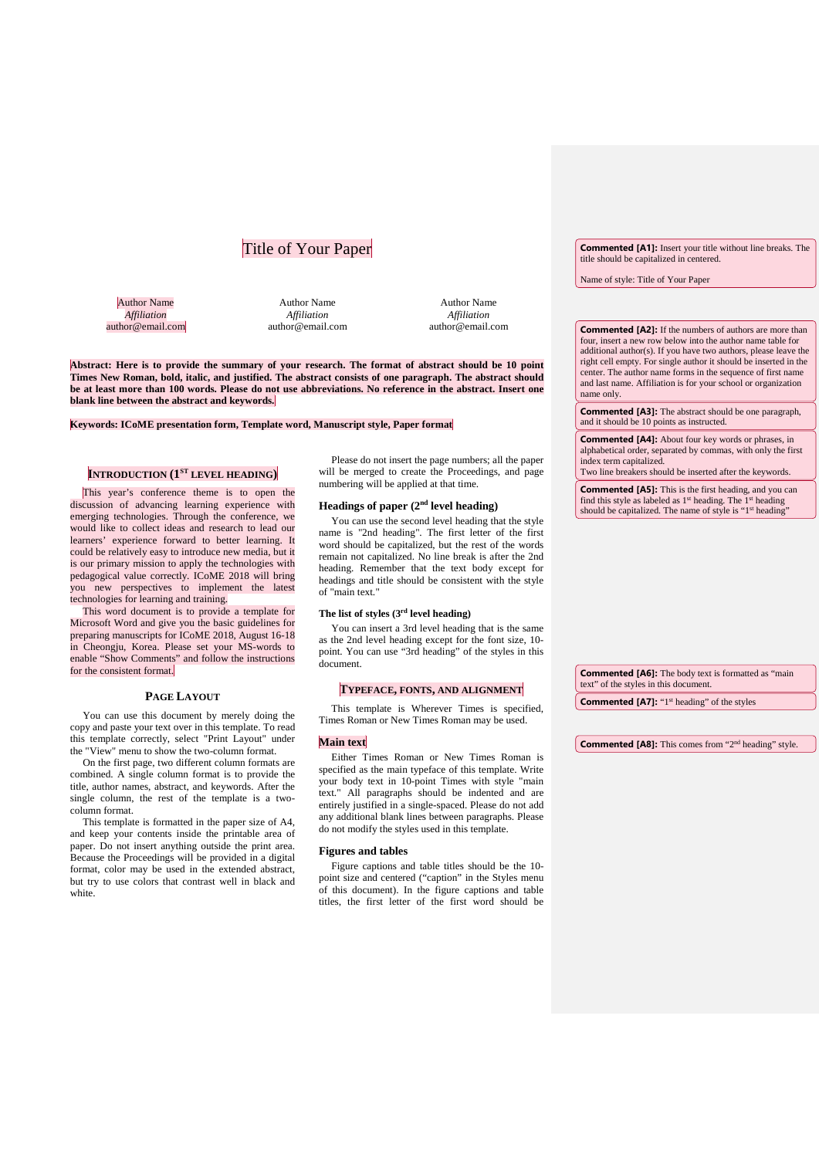|                                          | Title of Your Paper        |                                   | <b>Commented [A1]:</b> Insert your title without line breaks. The<br>title should be capitalized in centered.                 |
|------------------------------------------|----------------------------|-----------------------------------|-------------------------------------------------------------------------------------------------------------------------------|
|                                          |                            |                                   | Name of style: Title of Your Paper                                                                                            |
| <b>Author Name</b><br><b>Affiliation</b> | Author Name<br>Affiliation | <b>Author Name</b><br>Affiliation |                                                                                                                               |
| author@email.com                         | author@email.com           | author@email.com                  | <b>Commented [A2]:</b> If the numbers of authors are more than<br>four, insert a new row below into the author name table for |

**Abstract: Here is to provide the summary of your research. The format of abstract should be 10 point Times New Roman, bold, italic, and justified. The abstract consists of one paragraph. The abstract should be at least more than 100 words. Please do not use abbreviations. No reference in the abstract. Insert one blank line between the abstract and keywords.**

**Keywords: ICoME presentation form, Template word, Manuscript style, Paper format**

## **INTRODUCTION (1ST LEVEL HEADING)**

This year's conference theme is to open the discussion of advancing learning experience with emerging technologies. Through the conference, we would like to collect ideas and research to lead our learners' experience forward to better learning. It could be relatively easy to introduce new media, but it is our primary mission to apply the technologies with pedagogical value correctly. ICoME 2018 will bring you new perspectives to implement the latest technologies for learning and training.

This word document is to provide a template for Microsoft Word and give you the basic guidelines for preparing manuscripts for ICoME 2018, August 16-18 in Cheongju, Korea. Please set your MS-words to enable "Show Comments" and follow the instructions for the consistent format.

### **PAGE LAYOUT**

You can use this document by merely doing the copy and paste your text over in this template. To read this template correctly, select "Print Layout" under the "View" menu to show the two-column format.

On the first page, two different column formats are combined. A single column format is to provide the title, author names, abstract, and keywords. After the single column, the rest of the template is a twocolumn format.

This template is formatted in the paper size of A4, and keep your contents inside the printable area of paper. Do not insert anything outside the print area. Because the Proceedings will be provided in a digital format, color may be used in the extended abstract but try to use colors that contrast well in black and white.

Please do not insert the page numbers; all the paper will be merged to create the Proceedings, and page numbering will be applied at that time.

## **Headings of paper (2nd level heading)**

You can use the second level heading that the style name is "2nd heading". The first letter of the first word should be capitalized, but the rest of the words remain not capitalized. No line break is after the 2nd heading. Remember that the text body except for headings and title should be consistent with the style of "main text."

### **The list of styles (3rd level heading)**

You can insert a 3rd level heading that is the same as the 2nd level heading except for the font size, 10 point. You can use "3rd heading" of the styles in this document.

## **TYPEFACE, FONTS, AND ALIGNMENT**

This template is Wherever Times is specified, Times Roman or New Times Roman may be used.

#### **Main text**

Either Times Roman or New Times Roman is specified as the main typeface of this template. Write your body text in 10-point Times with style "main text." All paragraphs should be indented and are entirely justified in a single-spaced. Please do not add any additional blank lines between paragraphs. Please do not modify the styles used in this template.

### **Figures and tables**

Figure captions and table titles should be the 10 point size and centered ("caption" in the Styles menu of this document). In the figure captions and table titles, the first letter of the first word should be

and last name. Affiliation is for your school or organization name only. **Commented [A3]:** The abstract should be one paragraph, and it should be 10 points as instructed. **Commented [A4]:** About four key words or phrases, in

additional author(s). If you have two authors, please leave the right cell empty. For single author it should be inserted in the center. The author name forms in the sequence of first name

alphabetical order, separated by commas, with only the first index term capitalized. Two line breakers should be inserted after the keywords.

**Commented [A5]:** This is the first heading, and you can find this style as labeled as 1st heading. The 1st heading should be capitalized. The name of style is "1<sup>st</sup> heading"

**Commented [A6]:** The body text is formatted as "main text" of the styles in this document.

**Commented [A7]:** "1<sup>st</sup> heading" of the styles

**Commented [A8]:** This comes from "2<sup>nd</sup> heading" style.